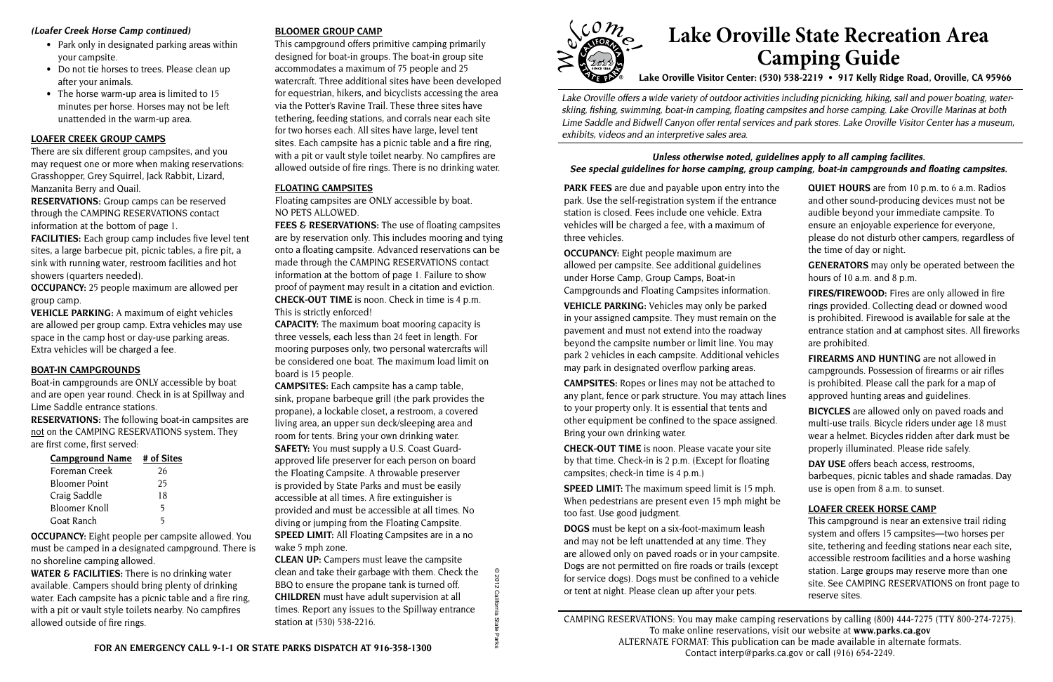**PARK FEES** are due and payable upon entry into the park. Use the self-registration system if the entrance station is closed. Fees include one vehicle. Extra vehicles will be charged a fee, with a maximum of three vehicles.

**OCCUPANCY:** Eight people maximum are allowed per campsite. See additional guidelines under Horse Camp, Group Camps, Boat-in Campgrounds and Floating Campsites information.

**VEHICLE PARKING:** Vehicles may only be parked in your assigned campsite. They must remain on the pavement and must not extend into the roadway beyond the campsite number or limit line. You may park 2 vehicles in each campsite. Additional vehicles may park in designated overflow parking areas.

**CAMPSITES:** Ropes or lines may not be attached to any plant, fence or park structure. You may attach lin to your property only. It is essential that tents and other equipment be confined to the space assigned. Bring your own drinking water.

**CHECK-OUT TIME** is noon. Please vacate your site by that time. Check-in is 2 p.m. (Except for floating campsites; check-in time is 4 p.m.)

**SPEED LIMIT:** The maximum speed limit is 15 mph. When pedestrians are present even 15 mph might be too fast. Use good judgment.

**DOGS** must be kept on a six-foot-maximum leash and may not be left unattended at any time. They are allowed only on paved roads or in your campsite. Dogs are not permitted on fire roads or trails (except for service dogs). Dogs must be confined to a vehicle or tent at night. Please clean up after your pets.

- Park only in designated parking areas within your campsite.
- Do not tie horses to trees. Please clean up after your animals.
- The horse warm-up area is limited to 15 minutes per horse. Horses may not be left unattended in the warm-up area.

| QUIET HOURS are from 10 p.m. to 6 a.m. Radios                                                                                                                                                               |
|-------------------------------------------------------------------------------------------------------------------------------------------------------------------------------------------------------------|
| and other sound-producing devices must not be                                                                                                                                                               |
| audible beyond your immediate campsite. To                                                                                                                                                                  |
| ensure an enjoyable experience for everyone,                                                                                                                                                                |
| please do not disturb other campers, regardless of<br>the time of day or night.                                                                                                                             |
| <b>GENERATORS</b> may only be operated between the<br>hours of 10 a.m. and 8 p.m.                                                                                                                           |
| FIRES/FIREWOOD: Fires are only allowed in fire<br>rings provided. Collecting dead or downed wood                                                                                                            |
| is prohibited. Firewood is available for sale at the<br>entrance station and at camphost sites. All fireworks<br>are prohibited.                                                                            |
| <b>FIREARMS AND HUNTING</b> are not allowed in                                                                                                                                                              |
| campgrounds. Possession of firearms or air rifles                                                                                                                                                           |
| is prohibited. Please call the park for a map of                                                                                                                                                            |
| approved hunting areas and guidelines.                                                                                                                                                                      |
| <b>BICYCLES</b> are allowed only on paved roads and<br>multi-use trails. Bicycle riders under age 18 must<br>wear a helmet. Bicycles ridden after dark must be<br>properly illuminated. Please ride safely. |
| DAY USE offers beach access, restrooms,                                                                                                                                                                     |
| barbeques, picnic tables and shade ramadas. Day<br>use is open from 8 a.m. to sunset.                                                                                                                       |
|                                                                                                                                                                                                             |
| <b>LOAFER CREEK HORSE CAMP</b>                                                                                                                                                                              |
| This campground is near an extensive trail riding                                                                                                                                                           |
| system and offers 15 campsites-two horses per<br>site, tethering and feeding stations near each site,                                                                                                       |
| accessible restroom facilities and a horse washing                                                                                                                                                          |
| station. Large groups may reserve more than one                                                                                                                                                             |
| site. See CAMPING RESERVATIONS on front page to<br>reserve sites.                                                                                                                                           |
|                                                                                                                                                                                                             |

Lake Oroville offers a wide variety of outdoor activities including picnicking, hiking, sail and power boating, waterskiing, fishing, swimming, boat-in camping, floating campsites and horse camping. Lake Oroville Marinas at both Lime Saddle and Bidwell Canyon offer rental services and park stores. Lake Oroville Visitor Center has a museum, exhibits, videos and an interpretive sales area.

#### **Unless otherwise noted, guide** See special guidelines for horse camping, group

## **(Loafer Creek Horse Camp continued)**

**FEES & RESERVATIONS:** The use of floating campsites are by reservation only. This includes mooring and tying onto a floating campsite. Advanced reservations can be made through the CAMPING RESERVATIONS contact information at the bottom of page 1. Failure to show proof of payment may result in a citation and eviction. **CHECK-OUT TIME** is noon. Check in time is 4 p.m. This is strictly enforced!

**CAPACITY:** The maximum boat mooring capacity is three vessels, each less than 24 feet in length. For mooring purposes only, two personal watercrafts will be considered one boat. The maximum load limit on board is 15 people.

> CAMPING RESERVATIONS: You may make camping reservations by calling (800) 444-7275 (TTY 800-274-7275). To make online reservations, visit our website at **www.parks.ca.gov** ALTERNATE FORMAT: This publication can be made available in alternate formats. Contact interp@parks.ca.gov or call (916) 654-2249.

# **Lake Oroville State Recreation Area Camping Guide**

**Lake Oroville Visitor Center: (530) 538-2219 • 917 Kelly Ridge Road, Oroville, CA 95966** 

## **LOAFER CREEK GROUP CAMPS**

There are six different group campsites, and you may request one or more when making reservations: Grasshopper, Grey Squirrel, Jack Rabbit, Lizard, Manzanita Berry and Quail.

**RESERVATIONS:** Group camps can be reserved through the CAMPING RESERVATIONS contact information at the bottom of page 1.

**FACILITIES:** Each group camp includes five level tent sites, a large barbecue pit, picnic tables, a fire pit, a sink with running water**,** restroom facilities and hot showers (quarters needed).

**OCCUPANCY:** 25 people maximum are allowed per group camp.

**VEHICLE PARKING:** A maximum of eight vehicles are allowed per group camp. Extra vehicles may use space in the camp host or day-use parking areas. Extra vehicles will be charged a fee.

## **BOAT-IN CAMPGROUNDS**

Boat-in campgrounds are ONLY accessible by boat and are open year round. Check in is at Spillway and Lime Saddle entrance stations.

**RESERVATIONS:** The following boat-in campsites are not on the CAMPING RESERVATIONS system. They are first come, first served:

| <b>Campground Name</b> | # of Sites |
|------------------------|------------|
| Foreman Creek          | 26         |
| <b>Bloomer Point</b>   | 25         |
| Craig Saddle           | 18         |
| <b>Bloomer Knoll</b>   | 5          |
| Goat Ranch             | 5          |

**OCCUPANCY:** Eight people per campsite allowed. You must be camped in a designated campground. There is no shoreline camping allowed.

**WATER & FACILITIES:** There is no drinking water available. Campers should bring plenty of drinking water. Each campsite has a picnic table and a fire ring, with a pit or vault style toilets nearby. No campfires allowed outside of fire rings.

## **BLOOMER GROUP CAMP**

This campground offers primitive camping primarily designed for boat-in groups. The boat-in group site accommodates a maximum of 75 people and 25 watercraft. Three additional sites have been developed for equestrian, hikers, and bicyclists accessing the area via the Potter's Ravine Trail. These three sites have tethering, feeding stations, and corrals near each site for two horses each. All sites have large, level tent sites. Each campsite has a picnic table and a fire ring, with a pit or vault style toilet nearby. No campfires are allowed outside of fire rings. There is no drinking water.

## **FLOATING CAMPSITES**

Floating campsites are ONLY accessible by boat. NO PETS ALLOWED.

**CAMPSITES:** Each campsite has a camp table, sink, propane barbeque grill (the park provides the propane), a lockable closet, a restroom, a covered living area, an upper sun deck/sleeping area and room for tents. Bring your own drinking water. **SAFETY:** You must supply a U.S. Coast Guardapproved life preserver for each person on board the Floating Campsite. A throwable preserver is provided by State Parks and must be easily accessible at all times. A fire extinguisher is provided and must be accessible at all times. No diving or jumping from the Floating Campsite. **SPEED LIMIT:** All Floating Campsites are in a no wake 5 mph zone.

**CLEAN UP:** Campers must leave the campsite clean and take their garbage with them. Check the BBQ to ensure the propane tank is turned off. **CHILDREN** must have adult supervision at all times. Report any issues to the Spillway entrance station at (530) 538-2216.

© 2012 California State Parks



| elines apply to all camping facilites.               |
|------------------------------------------------------|
| camping, boat-in campgrounds and floating campsites. |